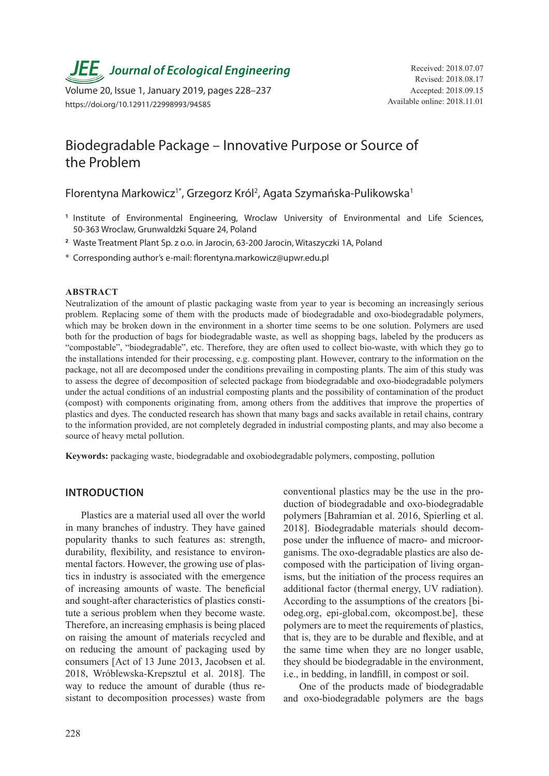**JEE** Journal of Ecological Engineering Received: 2018.07.07

Volume 20, Issue 1, January 2019, pages 228–237 https://doi.org/10.12911/22998993/94585

# Biodegradable Package – Innovative Purpose or Source of the Problem

Florentyna Markowicz<sup>i\*</sup>, Grzegorz Król<sup>2</sup>, Agata Szymańska-Pulikowska<sup>1</sup>

- **<sup>1</sup>** Institute of Environmental Engineering, Wroclaw University of Environmental and Life Sciences, 50-363 Wroclaw, Grunwaldzki Square 24, Poland
- **<sup>2</sup>** Waste Treatment Plant Sp. z o.o. in Jarocin, 63-200 Jarocin, Witaszyczki 1A, Poland
- \* Corresponding author's e-mail: florentyna.markowicz@upwr.edu.pl

#### **ABSTRACT**

Neutralization of the amount of plastic packaging waste from year to year is becoming an increasingly serious problem. Replacing some of them with the products made of biodegradable and oxo-biodegradable polymers, which may be broken down in the environment in a shorter time seems to be one solution. Polymers are used both for the production of bags for biodegradable waste, as well as shopping bags, labeled by the producers as "compostable", "biodegradable", etc. Therefore, they are often used to collect bio-waste, with which they go to the installations intended for their processing, e.g. composting plant. However, contrary to the information on the package, not all are decomposed under the conditions prevailing in composting plants. The aim of this study was to assess the degree of decomposition of selected package from biodegradable and oxo-biodegradable polymers under the actual conditions of an industrial composting plants and the possibility of contamination of the product (compost) with components originating from, among others from the additives that improve the properties of plastics and dyes. The conducted research has shown that many bags and sacks available in retail chains, contrary to the information provided, are not completely degraded in industrial composting plants, and may also become a source of heavy metal pollution.

**Keywords:** packaging waste, biodegradable and oxobiodegradable polymers, composting, pollution

#### **INTRODUCTION**

Plastics are a material used all over the world in many branches of industry. They have gained popularity thanks to such features as: strength, durability, flexibility, and resistance to environmental factors. However, the growing use of plastics in industry is associated with the emergence of increasing amounts of waste. The beneficial and sought-after characteristics of plastics constitute a serious problem when they become waste. Therefore, an increasing emphasis is being placed on raising the amount of materials recycled and on reducing the amount of packaging used by consumers [Act of 13 June 2013, Jacobsen et al. 2018, Wróblewska-Krepsztul et al. 2018]. The way to reduce the amount of durable (thus resistant to decomposition processes) waste from conventional plastics may be the use in the production of biodegradable and oxo-biodegradable polymers [Bahramian et al. 2016, Spierling et al. 2018]. Biodegradable materials should decompose under the influence of macro- and microorganisms. The oxo-degradable plastics are also decomposed with the participation of living organisms, but the initiation of the process requires an additional factor (thermal energy, UV radiation). According to the assumptions of the creators [biodeg.org, epi-global.com, okcompost.be], these polymers are to meet the requirements of plastics, that is, they are to be durable and flexible, and at the same time when they are no longer usable, they should be biodegradable in the environment, i.e., in bedding, in landfill, in compost or soil.

One of the products made of biodegradable and oxo-biodegradable polymers are the bags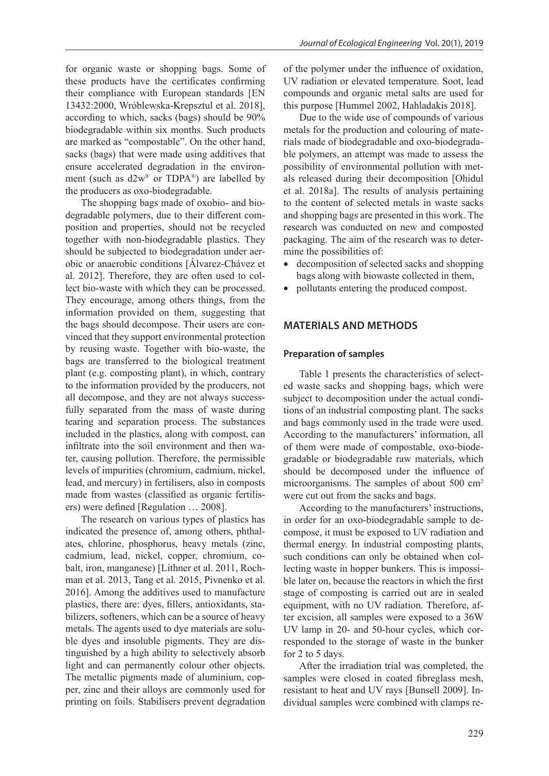for organic waste or shopping bags. Some of these products have the certificates confirming their compliance with European standards [EN 13432:2000, Wróblewska-Krepsztul et al. 2018], according to which, sacks (bags) should be 90% biodegradable within six months. Such products are marked as "compostable". On the other hand, sacks (bags) that were made using additives that ensure accelerated degradation in the environment (such as d2w® or TDPA®) are labelled by the producers as oxo-biodegradable.

The shopping bags made of oxobio- and biodegradable polymers, due to their different composition and properties, should not be recycled together with non-biodegradable plastics. They should be subjected to biodegradation under aerobic or anaerobic conditions [Álvarez-Chávez et al. 2012]. Therefore, they are often used to collect bio-waste with which they can be processed. They encourage, among others things, from the information provided on them, suggesting that the bags should decompose. Their users are convinced that they support environmental protection by reusing waste. Together with bio-waste, the bags are transferred to the biological treatment plant (e.g. composting plant), in which, contrary to the information provided by the producers, not all decompose, and they are not always successfully separated from the mass of waste during tearing and separation process. The substances included in the plastics, along with compost, can infiltrate into the soil environment and then water, causing pollution. Therefore, the permissible levels of impurities (chromium, cadmium, nickel, lead, and mercury) in fertilisers, also in composts made from wastes (classified as organic fertilisers) were defined [Regulation … 2008].

The research on various types of plastics has indicated the presence of, among others, phthalates, chlorine, phosphorus, heavy metals (zinc, cadmium, lead, nickel, copper, chromium, cobalt, iron, manganese) [Lithner et al. 2011, Rochman et al. 2013, Tang et al. 2015, Pivnenko et al. 2016]. Among the additives used to manufacture plastics, there are: dyes, fillers, antioxidants, stabilizers, softeners, which can be a source of heavy metals. The agents used to dye materials are soluble dyes and insoluble pigments. They are distinguished by a high ability to selectively absorb light and can permanently colour other objects. The metallic pigments made of aluminium, copper, zinc and their alloys are commonly used for printing on foils. Stabilisers prevent degradation

of the polymer under the influence of oxidation, UV radiation or elevated temperature. Soot, lead compounds and organic metal salts are used for this purpose [Hummel 2002, Hahladakis 2018].

Due to the wide use of compounds of various metals for the production and colouring of materials made of biodegradable and oxo-biodegradable polymers, an attempt was made to assess the possibility of environmental pollution with metals released during their decomposition [Ohidul et al. 2018a]. The results of analysis pertaining to the content of selected metals in waste sacks and shopping bags are presented in this work. The research was conducted on new and composted packaging. The aim of the research was to determine the possibilities of:

- decomposition of selected sacks and shopping bags along with biowaste collected in them,
- pollutants entering the produced compost.

## **MATERIALS AND METHODS**

#### **Preparation of samples**

Table 1 presents the characteristics of selected waste sacks and shopping bags, which were subject to decomposition under the actual conditions of an industrial composting plant. The sacks and bags commonly used in the trade were used. According to the manufacturers' information, all of them were made of compostable, oxo-biodegradable or biodegradable raw materials, which should be decomposed under the influence of microorganisms. The samples of about 500 cm<sup>2</sup> were cut out from the sacks and bags.

According to the manufacturers' instructions, in order for an oxo-biodegradable sample to decompose, it must be exposed to UV radiation and thermal energy. In industrial composting plants, such conditions can only be obtained when collecting waste in hopper bunkers. This is impossible later on, because the reactors in which the first stage of composting is carried out are in sealed equipment, with no UV radiation. Therefore, after excision, all samples were exposed to a 36W UV lamp in 20- and 50-hour cycles, which corresponded to the storage of waste in the bunker for 2 to 5 days.

After the irradiation trial was completed, the samples were closed in coated fibreglass mesh, resistant to heat and UV rays [Bunsell 2009]. Individual samples were combined with clamps re-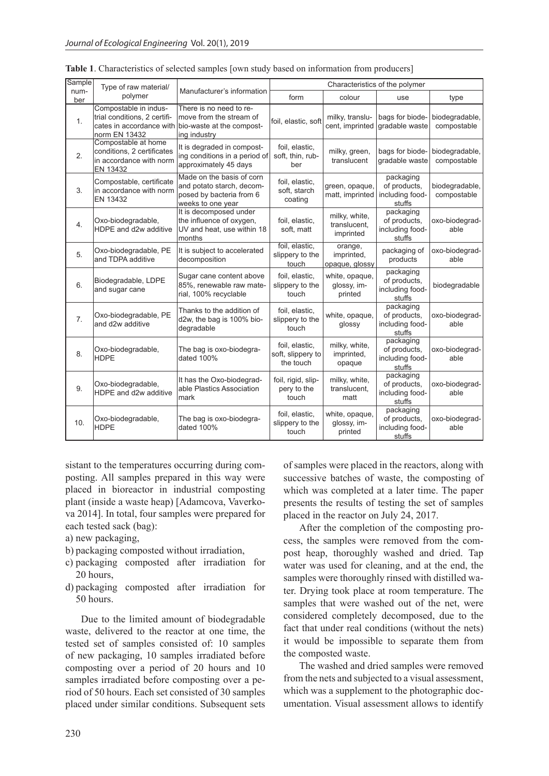| Sample           | Type of raw material/                                                                    | Manufacturer's information                                                                                               | Characteristics of the polymer                   |                                            |                                                        |                               |
|------------------|------------------------------------------------------------------------------------------|--------------------------------------------------------------------------------------------------------------------------|--------------------------------------------------|--------------------------------------------|--------------------------------------------------------|-------------------------------|
| num-<br>ber      | polymer                                                                                  |                                                                                                                          | form                                             | colour                                     | use                                                    | type                          |
| 1.               | Compostable in indus-<br>trial conditions, 2 certifi-<br>norm EN 13432                   | There is no need to re-<br>move from the stream of<br>cates in accordance with bio-waste at the compost-<br>ing industry | foil, elastic, soft                              | milky, translu-<br>cent, imprinted         | bags for biode-<br>gradable waste                      | biodegradable,<br>compostable |
| 2.               | Compostable at home<br>conditions, 2 certificates<br>in accordance with norm<br>EN 13432 | It is degraded in compost-<br>ing conditions in a period of<br>approximately 45 days                                     | foil, elastic,<br>soft, thin, rub-<br>ber        | milky, green,<br>translucent               | bags for biode-<br>gradable waste                      | biodegradable,<br>compostable |
| 3.               | Compostable, certificate<br>in accordance with norm<br>EN 13432                          | Made on the basis of corn<br>and potato starch, decom-<br>posed by bacteria from 6<br>weeks to one year                  | foil, elastic,<br>soft, starch<br>coating        | green, opaque,<br>matt, imprinted          | packaging<br>of products,<br>including food-<br>stuffs | biodegradable,<br>compostable |
| 4.               | Oxo-biodegradable,<br>HDPE and d2w additive                                              | It is decomposed under<br>the influence of oxygen,<br>UV and heat, use within 18<br>months                               | foil, elastic,<br>soft, matt                     | milky, white,<br>translucent.<br>imprinted | packaging<br>of products,<br>including food-<br>stuffs | oxo-biodegrad-<br>able        |
| 5.               | Oxo-biodegradable, PE<br>and TDPA additive                                               | It is subject to accelerated<br>decomposition                                                                            | foil, elastic,<br>slippery to the<br>touch       | orange,<br>imprinted,<br>opaque, glossy    | packaging of<br>products                               | oxo-biodegrad-<br>able        |
| 6.               | Biodegradable, LDPE<br>and sugar cane                                                    | Sugar cane content above<br>85%, renewable raw mate-<br>rial, 100% recyclable                                            | foil, elastic,<br>slippery to the<br>touch       | white, opaque,<br>glossy, im-<br>printed   | packaging<br>of products,<br>including food-<br>stuffs | biodegradable                 |
| $\overline{7}$ . | Oxo-biodegradable, PE<br>and d2w additive                                                | Thanks to the addition of<br>d2w, the bag is 100% bio-<br>degradable                                                     | foil, elastic,<br>slippery to the<br>touch       | white, opaque,<br>glossy                   | packaging<br>of products,<br>including food-<br>stuffs | oxo-biodegrad-<br>able        |
| 8.               | Oxo-biodegradable,<br><b>HDPE</b>                                                        | The bag is oxo-biodegra-<br>dated 100%                                                                                   | foil, elastic,<br>soft, slippery to<br>the touch | milky, white,<br>imprinted,<br>opaque      | packaging<br>of products,<br>including food-<br>stuffs | oxo-biodegrad-<br>able        |
| 9.               | Oxo-biodegradable,<br>HDPE and d2w additive                                              | It has the Oxo-biodegrad-<br>able Plastics Association<br>mark                                                           | foil, rigid, slip-<br>pery to the<br>touch       | milky, white,<br>translucent,<br>matt      | packaging<br>of products,<br>including food-<br>stuffs | oxo-biodegrad-<br>able        |
| 10.              | Oxo-biodegradable,<br><b>HDPE</b>                                                        | The bag is oxo-biodegra-<br>dated 100%                                                                                   | foil, elastic,<br>slippery to the<br>touch       | white, opaque,<br>qlossy, im-<br>printed   | packaging<br>of products,<br>including food-<br>stuffs | oxo-biodegrad-<br>able        |

**Table 1**. Characteristics of selected samples [own study based on information from producers]

sistant to the temperatures occurring during composting. All samples prepared in this way were placed in bioreactor in industrial composting plant (inside a waste heap) [Adamcova, Vaverkova 2014]. In total, four samples were prepared for each tested sack (bag):

- a) new packaging,
- b) packaging composted without irradiation,
- c) packaging composted after irradiation for 20 hours,
- d) packaging composted after irradiation for 50 hours.

Due to the limited amount of biodegradable waste, delivered to the reactor at one time, the tested set of samples consisted of: 10 samples of new packaging, 10 samples irradiated before composting over a period of 20 hours and 10 samples irradiated before composting over a period of 50 hours. Each set consisted of 30 samples placed under similar conditions. Subsequent sets of samples were placed in the reactors, along with successive batches of waste, the composting of which was completed at a later time. The paper presents the results of testing the set of samples placed in the reactor on July 24, 2017.

After the completion of the composting process, the samples were removed from the compost heap, thoroughly washed and dried. Tap water was used for cleaning, and at the end, the samples were thoroughly rinsed with distilled water. Drying took place at room temperature. The samples that were washed out of the net, were considered completely decomposed, due to the fact that under real conditions (without the nets) it would be impossible to separate them from the composted waste.

The washed and dried samples were removed from the nets and subjected to a visual assessment, which was a supplement to the photographic documentation. Visual assessment allows to identify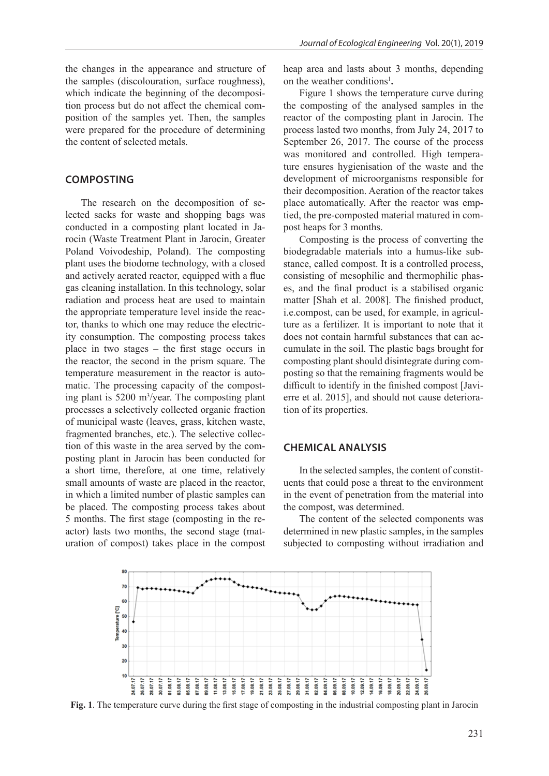the changes in the appearance and structure of the samples (discolouration, surface roughness), which indicate the beginning of the decomposition process but do not affect the chemical composition of the samples yet. Then, the samples were prepared for the procedure of determining the content of selected metals.

## **COMPOSTING**

The research on the decomposition of selected sacks for waste and shopping bags was conducted in a composting plant located in Jarocin (Waste Treatment Plant in Jarocin, Greater Poland Voivodeship, Poland). The composting plant uses the biodome technology, with a closed and actively aerated reactor, equipped with a flue gas cleaning installation. In this technology, solar radiation and process heat are used to maintain the appropriate temperature level inside the reactor, thanks to which one may reduce the electricity consumption. The composting process takes place in two stages – the first stage occurs in the reactor, the second in the prism square. The temperature measurement in the reactor is automatic. The processing capacity of the composting plant is 5200 m3 /year. The composting plant processes a selectively collected organic fraction of municipal waste (leaves, grass, kitchen waste, fragmented branches, etc.). The selective collection of this waste in the area served by the composting plant in Jarocin has been conducted for a short time, therefore, at one time, relatively small amounts of waste are placed in the reactor, in which a limited number of plastic samples can be placed. The composting process takes about 5 months. The first stage (composting in the reactor) lasts two months, the second stage (maturation of compost) takes place in the compost heap area and lasts about 3 months, depending on the weather conditions<sup>1</sup>.

Figure 1 shows the temperature curve during the composting of the analysed samples in the reactor of the composting plant in Jarocin. The process lasted two months, from July 24, 2017 to September 26, 2017. The course of the process was monitored and controlled. High temperature ensures hygienisation of the waste and the development of microorganisms responsible for their decomposition. Aeration of the reactor takes place automatically. After the reactor was emptied, the pre-composted material matured in compost heaps for 3 months.

Composting is the process of converting the biodegradable materials into a humus-like substance, called compost. It is a controlled process, consisting of mesophilic and thermophilic phases, and the final product is a stabilised organic matter [Shah et al. 2008]. The finished product, i.e.compost, can be used, for example, in agriculture as a fertilizer. It is important to note that it does not contain harmful substances that can accumulate in the soil. The plastic bags brought for composting plant should disintegrate during composting so that the remaining fragments would be difficult to identify in the finished compost [Javierre et al. 2015], and should not cause deterioration of its properties.

#### **CHEMICAL ANALYSIS**

In the selected samples, the content of constituents that could pose a threat to the environment in the event of penetration from the material into the compost, was determined.

The content of the selected components was determined in new plastic samples, in the samples subjected to composting without irradiation and



**Fig. 1**. The temperature curve during the first stage of composting in the industrial composting plant in Jarocin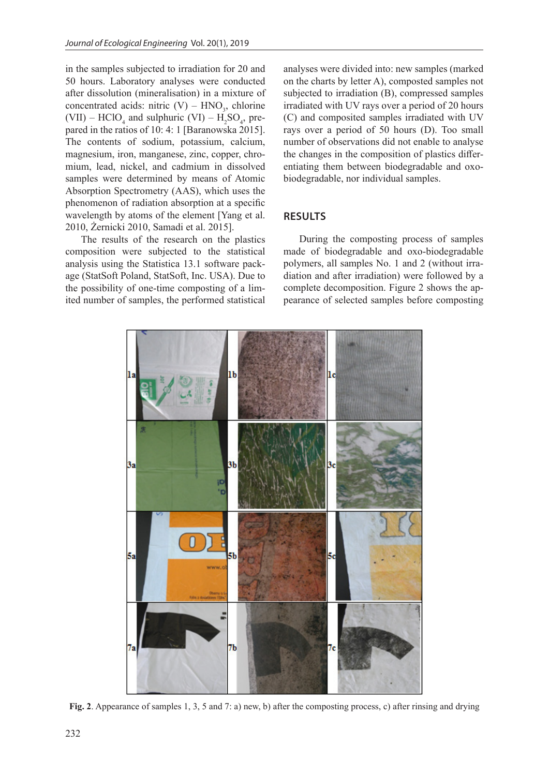in the samples subjected to irradiation for 20 and 50 hours. Laboratory analyses were conducted after dissolution (mineralisation) in a mixture of concentrated acids: nitric  $(V)$  – HNO<sub>3</sub>, chlorine (VII) – HClO<sub>4</sub> and sulphuric (VI) –  $H_2SO_4$ , prepared in the ratios of 10: 4: 1 [Baranowska 2015]. The contents of sodium, potassium, calcium, magnesium, iron, manganese, zinc, copper, chromium, lead, nickel, and cadmium in dissolved samples were determined by means of Atomic Absorption Spectrometry (AAS), which uses the phenomenon of radiation absorption at a specific wavelength by atoms of the element [Yang et al. 2010, Żernicki 2010, Samadi et al. 2015].

The results of the research on the plastics composition were subjected to the statistical analysis using the Statistica 13.1 software package (StatSoft Poland, StatSoft, Inc. USA). Due to the possibility of one-time composting of a limited number of samples, the performed statistical analyses were divided into: new samples (marked on the charts by letter A), composted samples not subjected to irradiation (B), compressed samples irradiated with UV rays over a period of 20 hours (C) and composited samples irradiated with UV rays over a period of 50 hours (D). Too small number of observations did not enable to analyse the changes in the composition of plastics differentiating them between biodegradable and oxobiodegradable, nor individual samples.

## **RESULTS**

During the composting process of samples made of biodegradable and oxo-biodegradable polymers, all samples No. 1 and 2 (without irradiation and after irradiation) were followed by a complete decomposition. Figure 2 shows the appearance of selected samples before composting



**Fig. 2**. Appearance of samples 1, 3, 5 and 7: a) new, b) after the composting process, c) after rinsing and drying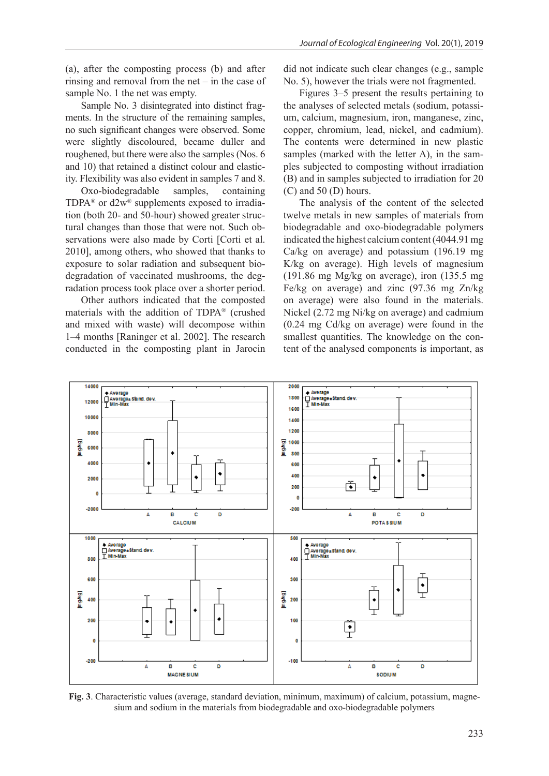(a), after the composting process (b) and after rinsing and removal from the net – in the case of sample No. 1 the net was empty.

Sample No. 3 disintegrated into distinct fragments. In the structure of the remaining samples, no such significant changes were observed. Some were slightly discoloured, became duller and roughened, but there were also the samples (Nos. 6 and 10) that retained a distinct colour and elasticity. Flexibility was also evident in samples 7 and 8.

Oxo-biodegradable samples, containing TDPA<sup>®</sup> or  $d2w$ <sup>®</sup> supplements exposed to irradiation (both 20- and 50-hour) showed greater structural changes than those that were not. Such observations were also made by Corti [Corti et al. 2010], among others, who showed that thanks to exposure to solar radiation and subsequent biodegradation of vaccinated mushrooms, the degradation process took place over a shorter period.

Other authors indicated that the composted materials with the addition of TDPA® (crushed and mixed with waste) will decompose within 1–4 months [Raninger et al. 2002]. The research conducted in the composting plant in Jarocin

did not indicate such clear changes (e.g., sample No. 5), however the trials were not fragmented.

Figures 3–5 present the results pertaining to the analyses of selected metals (sodium, potassium, calcium, magnesium, iron, manganese, zinc, copper, chromium, lead, nickel, and cadmium). The contents were determined in new plastic samples (marked with the letter A), in the samples subjected to composting without irradiation (B) and in samples subjected to irradiation for 20 (C) and 50 (D) hours.

The analysis of the content of the selected twelve metals in new samples of materials from biodegradable and oxo-biodegradable polymers indicated the highest calcium content (4044.91 mg Ca/kg on average) and potassium (196.19 mg K/kg on average). High levels of magnesium (191.86 mg Mg/kg on average), iron (135.5 mg Fe/kg on average) and zinc (97.36 mg Zn/kg on average) were also found in the materials. Nickel (2.72 mg Ni/kg on average) and cadmium (0.24 mg Cd/kg on average) were found in the smallest quantities. The knowledge on the content of the analysed components is important, as



**Fig. 3**. Characteristic values (average, standard deviation, minimum, maximum) of calcium, potassium, magnesium and sodium in the materials from biodegradable and oxo-biodegradable polymers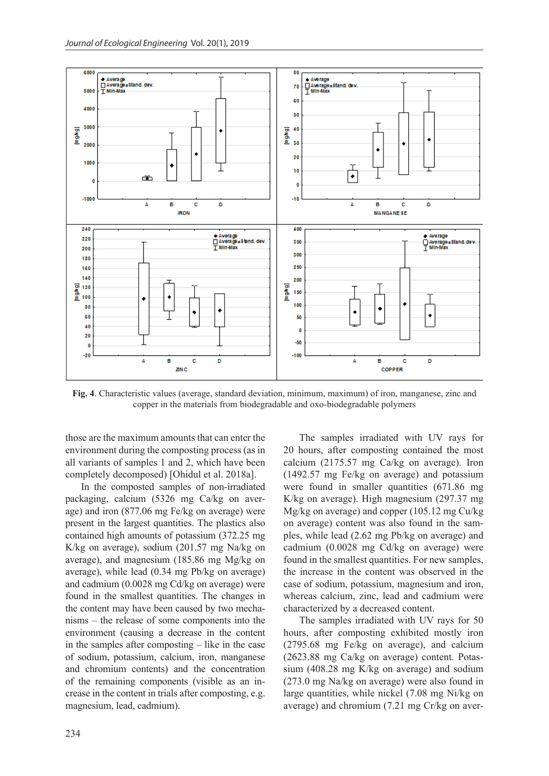

**Fig. 4**. Characteristic values (average, standard deviation, minimum, maximum) of iron, manganese, zinc and copper in the materials from biodegradable and oxo-biodegradable polymers

those are the maximum amounts that can enter the environment during the composting process (as in all variants of samples 1 and 2, which have been completely decomposed) [Ohidul et al. 2018a].

In the composted samples of non-irradiated packaging, calcium (5326 mg Ca/kg on average) and iron (877.06 mg Fe/kg on average) were present in the largest quantities. The plastics also contained high amounts of potassium (372.25 mg K/kg on average), sodium (201.57 mg Na/kg on average), and magnesium (185.86 mg Mg/kg on average), while lead (0.34 mg Pb/kg on average) and cadmium (0.0028 mg Cd/kg on average) were found in the smallest quantities. The changes in the content may have been caused by two mechanisms – the release of some components into the environment (causing a decrease in the content in the samples after composting – like in the case of sodium, potassium, calcium, iron, manganese and chromium contents) and the concentration of the remaining components (visible as an increase in the content in trials after composting, e.g. magnesium, lead, cadmium).

The samples irradiated with UV rays for 20 hours, after composting contained the most calcium (2175.57 mg Ca/kg on average). Iron (1492.57 mg Fe/kg on average) and potassium were found in smaller quantities (671.86 mg K/kg on average). High magnesium (297.37 mg Mg/kg on average) and copper (105.12 mg Cu/kg on average) content was also found in the samples, while lead (2.62 mg Pb/kg on average) and cadmium (0.0028 mg Cd/kg on average) were found in the smallest quantities. For new samples, the increase in the content was observed in the case of sodium, potassium, magnesium and iron, whereas calcium, zinc, lead and cadmium were characterized by a decreased content.

The samples irradiated with UV rays for 50 hours, after composting exhibited mostly iron (2795.68 mg Fe/kg on average), and calcium (2623.88 mg Ca/kg on average) content. Potassium (408.28 mg K/kg on average) and sodium (273.0 mg Na/kg on average) were also found in large quantities, while nickel (7.08 mg Ni/kg on average) and chromium (7.21 mg Cr/kg on aver-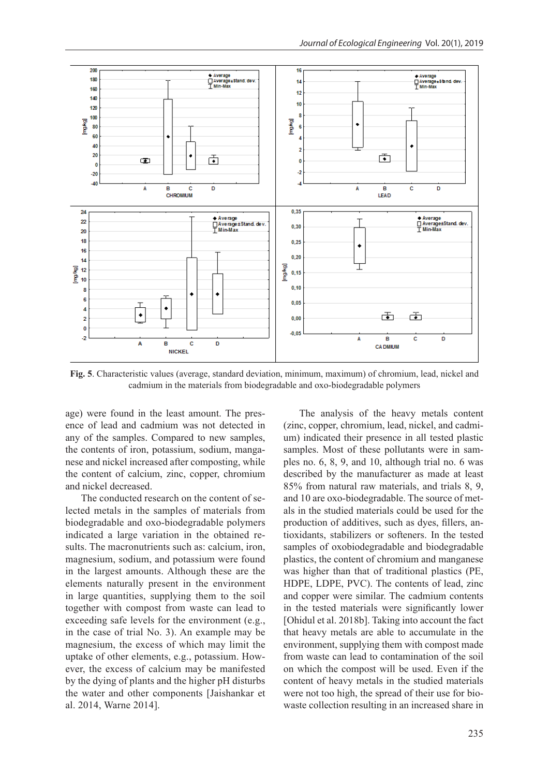

**Fig. 5**. Characteristic values (average, standard deviation, minimum, maximum) of chromium, lead, nickel and cadmium in the materials from biodegradable and oxo-biodegradable polymers

age) were found in the least amount. The presence of lead and cadmium was not detected in any of the samples. Compared to new samples, the contents of iron, potassium, sodium, manganese and nickel increased after composting, while the content of calcium, zinc, copper, chromium and nickel decreased.

The conducted research on the content of selected metals in the samples of materials from biodegradable and oxo-biodegradable polymers indicated a large variation in the obtained results. The macronutrients such as: calcium, iron, magnesium, sodium, and potassium were found in the largest amounts. Although these are the elements naturally present in the environment in large quantities, supplying them to the soil together with compost from waste can lead to exceeding safe levels for the environment (e.g., in the case of trial No. 3). An example may be magnesium, the excess of which may limit the uptake of other elements, e.g., potassium. However, the excess of calcium may be manifested by the dying of plants and the higher pH disturbs the water and other components [Jaishankar et al. 2014, Warne 2014].

The analysis of the heavy metals content (zinc, copper, chromium, lead, nickel, and cadmium) indicated their presence in all tested plastic samples. Most of these pollutants were in samples no. 6, 8, 9, and 10, although trial no. 6 was described by the manufacturer as made at least 85% from natural raw materials, and trials 8, 9, and 10 are oxo-biodegradable. The source of metals in the studied materials could be used for the production of additives, such as dyes, fillers, antioxidants, stabilizers or softeners. In the tested samples of oxobiodegradable and biodegradable plastics, the content of chromium and manganese was higher than that of traditional plastics (PE, HDPE, LDPE, PVC). The contents of lead, zinc and copper were similar. The cadmium contents in the tested materials were significantly lower [Ohidul et al. 2018b]. Taking into account the fact that heavy metals are able to accumulate in the environment, supplying them with compost made from waste can lead to contamination of the soil on which the compost will be used. Even if the content of heavy metals in the studied materials were not too high, the spread of their use for biowaste collection resulting in an increased share in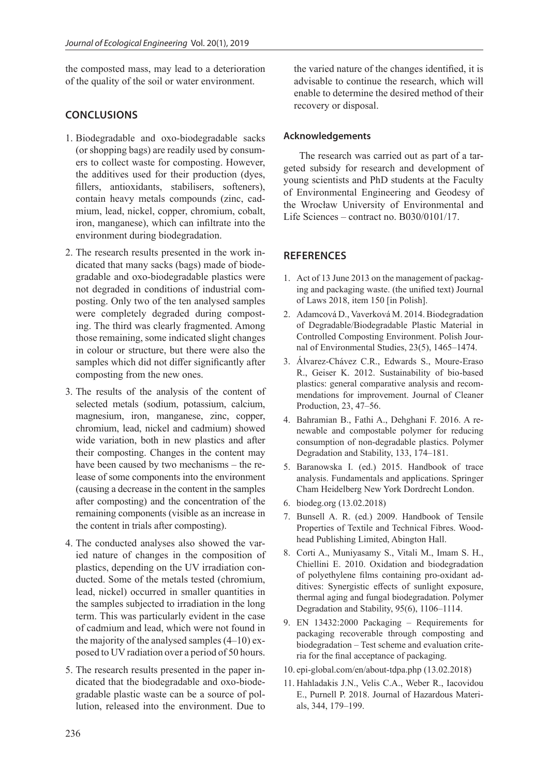the composted mass, may lead to a deterioration of the quality of the soil or water environment.

## **CONCLUSIONS**

- 1. Biodegradable and oxo-biodegradable sacks (or shopping bags) are readily used by consumers to collect waste for composting. However, the additives used for their production (dyes, fillers, antioxidants, stabilisers, softeners), contain heavy metals compounds (zinc, cadmium, lead, nickel, copper, chromium, cobalt, iron, manganese), which can infiltrate into the environment during biodegradation.
- 2. The research results presented in the work indicated that many sacks (bags) made of biodegradable and oxo-biodegradable plastics were not degraded in conditions of industrial composting. Only two of the ten analysed samples were completely degraded during composting. The third was clearly fragmented. Among those remaining, some indicated slight changes in colour or structure, but there were also the samples which did not differ significantly after composting from the new ones.
- 3. The results of the analysis of the content of selected metals (sodium, potassium, calcium, magnesium, iron, manganese, zinc, copper, chromium, lead, nickel and cadmium) showed wide variation, both in new plastics and after their composting. Changes in the content may have been caused by two mechanisms – the release of some components into the environment (causing a decrease in the content in the samples after composting) and the concentration of the remaining components (visible as an increase in the content in trials after composting).
- 4. The conducted analyses also showed the varied nature of changes in the composition of plastics, depending on the UV irradiation conducted. Some of the metals tested (chromium, lead, nickel) occurred in smaller quantities in the samples subjected to irradiation in the long term. This was particularly evident in the case of cadmium and lead, which were not found in the majority of the analysed samples (4–10) exposed to UV radiation over a period of 50 hours.
- 5. The research results presented in the paper indicated that the biodegradable and oxo-biodegradable plastic waste can be a source of pollution, released into the environment. Due to

the varied nature of the changes identified, it is advisable to continue the research, which will enable to determine the desired method of their recovery or disposal.

### **Acknowledgements**

The research was carried out as part of a targeted subsidy for research and development of young scientists and PhD students at the Faculty of Environmental Engineering and Geodesy of the Wrocław University of Environmental and Life Sciences – contract no. B030/0101/17.

## **REFERENCES**

- 1. Act of 13 June 2013 on the management of packaging and packaging waste. (the unified text) Journal of Laws 2018, item 150 [in Polish].
- 2. Adamcová D., Vaverková M. 2014. Biodegradation of Degradable/Biodegradable Plastic Material in Controlled Composting Environment. Polish Journal of Environmental Studies, 23(5), 1465–1474.
- 3. Álvarez-Chávez C.R., Edwards S., Moure-Eraso R., Geiser K. 2012. Sustainability of bio-based plastics: general comparative analysis and recommendations for improvement. Journal of Cleaner Production, 23, 47–56.
- 4. Bahramian B., Fathi A., Dehghani F. 2016. A renewable and compostable polymer for reducing consumption of non-degradable plastics. Polymer Degradation and Stability, 133, 174–181.
- 5. Baranowska I. (ed.) 2015. Handbook of trace analysis. Fundamentals and applications. Springer Cham Heidelberg New York Dordrecht London.
- 6. biodeg.org (13.02.2018)
- 7. Bunsell A. R. (ed.) 2009. Handbook of Tensile Properties of Textile and Technical Fibres. Woodhead Publishing Limited, Abington Hall.
- 8. Corti A., Muniyasamy S., Vitali M., Imam S. H., Chiellini E. 2010. Oxidation and biodegradation of polyethylene films containing pro-oxidant additives: Synergistic effects of sunlight exposure, thermal aging and fungal biodegradation. Polymer Degradation and Stability, 95(6), 1106–1114.
- 9. EN 13432:2000 Packaging Requirements for packaging recoverable through composting and biodegradation – Test scheme and evaluation criteria for the final acceptance of packaging.
- 10. epi-global.com/en/about-tdpa.php (13.02.2018)
- 11. Hahladakis J.N., Velis C.A., Weber R., Iacovidou E., Purnell P. 2018. Journal of Hazardous Materials, 344, 179–199.